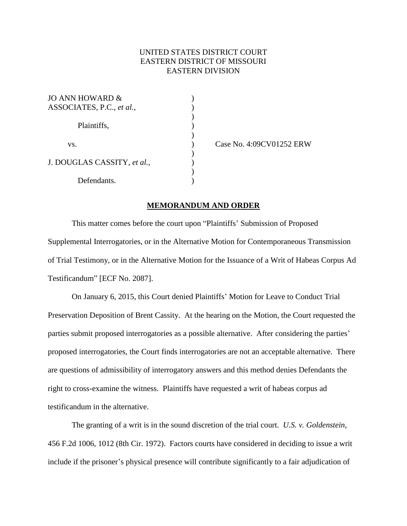## UNITED STATES DISTRICT COURT EASTERN DISTRICT OF MISSOURI EASTERN DIVISION

 $\sum$ 

 $\begin{pmatrix} 1 \\ 2 \end{pmatrix}$ 

)

| JO ANN HOWARD &<br>ASSOCIATES, P.C., et al., |  |
|----------------------------------------------|--|
| Plaintiffs,                                  |  |
| VS.                                          |  |
| J. DOUGLAS CASSITY, et al.,                  |  |
| Defendants.                                  |  |

Case No. 4:09CV01252 ERW

## **MEMORANDUM AND ORDER**

This matter comes before the court upon "Plaintiffs' Submission of Proposed Supplemental Interrogatories, or in the Alternative Motion for Contemporaneous Transmission of Trial Testimony, or in the Alternative Motion for the Issuance of a Writ of Habeas Corpus Ad Testificandum" [ECF No. 2087].

On January 6, 2015, this Court denied Plaintiffs' Motion for Leave to Conduct Trial Preservation Deposition of Brent Cassity. At the hearing on the Motion, the Court requested the parties submit proposed interrogatories as a possible alternative. After considering the parties' proposed interrogatories, the Court finds interrogatories are not an acceptable alternative. There are questions of admissibility of interrogatory answers and this method denies Defendants the right to cross-examine the witness. Plaintiffs have requested a writ of habeas corpus ad testificandum in the alternative.

The granting of a writ is in the sound discretion of the trial court. *U.S. v. Goldenstein*, 456 F.2d 1006, 1012 (8th Cir. 1972). Factors courts have considered in deciding to issue a writ include if the prisoner's physical presence will contribute significantly to a fair adjudication of